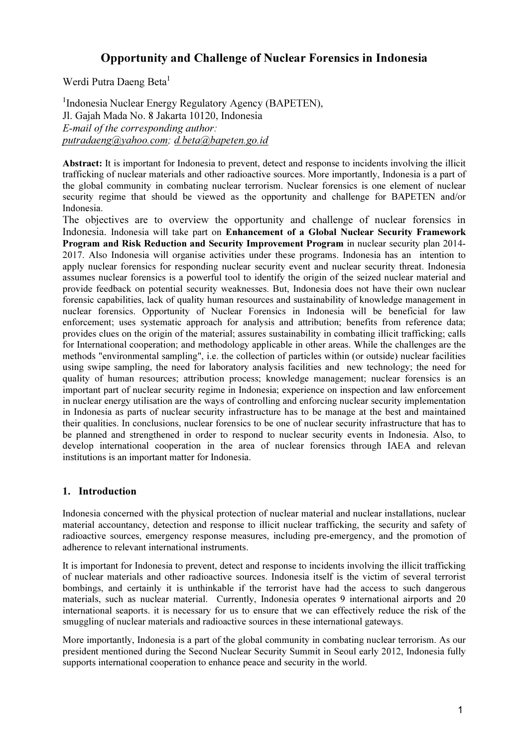# Opportunity and Challenge of Nuclear Forensics in Indonesia

Werdi Putra Daeng Beta<sup>1</sup>

<sup>1</sup>Indonesia Nuclear Energy Regulatory Agency (BAPETEN), Jl. Gajah Mada No. 8 Jakarta 10120, Indonesia E-mail of the corresponding author: putradaeng@yahoo.com; d.beta@bapeten.go.id

Abstract: It is important for Indonesia to prevent, detect and response to incidents involving the illicit trafficking of nuclear materials and other radioactive sources. More importantly, Indonesia is a part of the global community in combating nuclear terrorism. Nuclear forensics is one element of nuclear security regime that should be viewed as the opportunity and challenge for BAPETEN and/or Indonesia.

The objectives are to overview the opportunity and challenge of nuclear forensics in Indonesia. Indonesia will take part on Enhancement of a Global Nuclear Security Framework Program and Risk Reduction and Security Improvement Program in nuclear security plan 2014- 2017. Also Indonesia will organise activities under these programs. Indonesia has an intention to apply nuclear forensics for responding nuclear security event and nuclear security threat. Indonesia assumes nuclear forensics is a powerful tool to identify the origin of the seized nuclear material and provide feedback on potential security weaknesses. But, Indonesia does not have their own nuclear forensic capabilities, lack of quality human resources and sustainability of knowledge management in nuclear forensics. Opportunity of Nuclear Forensics in Indonesia will be beneficial for law enforcement; uses systematic approach for analysis and attribution; benefits from reference data; provides clues on the origin of the material; assures sustainability in combating illicit trafficking; calls for International cooperation; and methodology applicable in other areas. While the challenges are the methods "environmental sampling", i.e. the collection of particles within (or outside) nuclear facilities using swipe sampling, the need for laboratory analysis facilities and new technology; the need for quality of human resources; attribution process; knowledge management; nuclear forensics is an important part of nuclear security regime in Indonesia; experience on inspection and law enforcement in nuclear energy utilisation are the ways of controlling and enforcing nuclear security implementation in Indonesia as parts of nuclear security infrastructure has to be manage at the best and maintained their qualities. In conclusions, nuclear forensics to be one of nuclear security infrastructure that has to be planned and strengthened in order to respond to nuclear security events in Indonesia. Also, to develop international cooperation in the area of nuclear forensics through IAEA and relevan institutions is an important matter for Indonesia.

### 1. Introduction

Indonesia concerned with the physical protection of nuclear material and nuclear installations, nuclear material accountancy, detection and response to illicit nuclear trafficking, the security and safety of radioactive sources, emergency response measures, including pre-emergency, and the promotion of adherence to relevant international instruments.

It is important for Indonesia to prevent, detect and response to incidents involving the illicit trafficking of nuclear materials and other radioactive sources. Indonesia itself is the victim of several terrorist bombings, and certainly it is unthinkable if the terrorist have had the access to such dangerous materials, such as nuclear material. Currently, Indonesia operates 9 international airports and 20 international seaports. it is necessary for us to ensure that we can effectively reduce the risk of the smuggling of nuclear materials and radioactive sources in these international gateways.

More importantly, Indonesia is a part of the global community in combating nuclear terrorism. As our president mentioned during the Second Nuclear Security Summit in Seoul early 2012, Indonesia fully supports international cooperation to enhance peace and security in the world.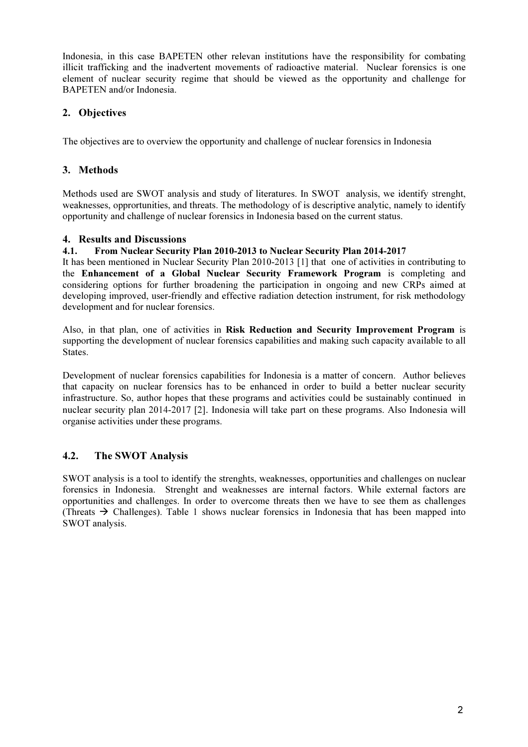Indonesia, in this case BAPETEN other relevan institutions have the responsibility for combating illicit trafficking and the inadvertent movements of radioactive material. Nuclear forensics is one element of nuclear security regime that should be viewed as the opportunity and challenge for BAPETEN and/or Indonesia.

## 2. Objectives

The objectives are to overview the opportunity and challenge of nuclear forensics in Indonesia

### 3. Methods

Methods used are SWOT analysis and study of literatures. In SWOT analysis, we identify strenght, weaknesses, opprortunities, and threats. The methodology of is descriptive analytic, namely to identify opportunity and challenge of nuclear forensics in Indonesia based on the current status.

### 4. Results and Discussions

#### 4.1. From Nuclear Security Plan 2010-2013 to Nuclear Security Plan 2014-2017

It has been mentioned in Nuclear Security Plan 2010-2013 [1] that one of activities in contributing to the Enhancement of a Global Nuclear Security Framework Program is completing and considering options for further broadening the participation in ongoing and new CRPs aimed at developing improved, user-friendly and effective radiation detection instrument, for risk methodology development and for nuclear forensics.

Also, in that plan, one of activities in Risk Reduction and Security Improvement Program is supporting the development of nuclear forensics capabilities and making such capacity available to all States.

Development of nuclear forensics capabilities for Indonesia is a matter of concern. Author believes that capacity on nuclear forensics has to be enhanced in order to build a better nuclear security infrastructure. So, author hopes that these programs and activities could be sustainably continued in nuclear security plan 2014-2017 [2]. Indonesia will take part on these programs. Also Indonesia will organise activities under these programs.

### 4.2. The SWOT Analysis

SWOT analysis is a tool to identify the strenghts, weaknesses, opportunities and challenges on nuclear forensics in Indonesia. Strenght and weaknesses are internal factors. While external factors are opportunities and challenges. In order to overcome threats then we have to see them as challenges (Threats  $\rightarrow$  Challenges). Table 1 shows nuclear forensics in Indonesia that has been mapped into SWOT analysis.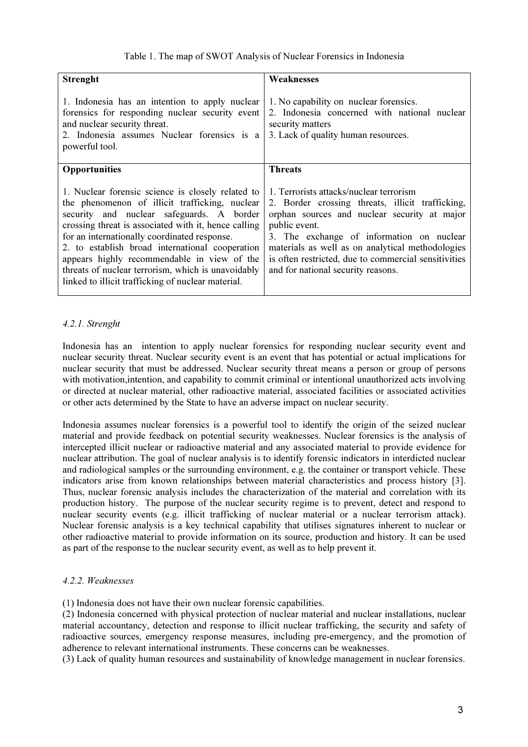| <b>Strenght</b>                                                                                                                                                                                                                                                                                                                                                                                                                                                        | Weaknesses                                                                                                                                                                                                                                                                                                                                                  |
|------------------------------------------------------------------------------------------------------------------------------------------------------------------------------------------------------------------------------------------------------------------------------------------------------------------------------------------------------------------------------------------------------------------------------------------------------------------------|-------------------------------------------------------------------------------------------------------------------------------------------------------------------------------------------------------------------------------------------------------------------------------------------------------------------------------------------------------------|
| 1. Indonesia has an intention to apply nuclear<br>forensics for responding nuclear security event<br>and nuclear security threat.<br>2. Indonesia assumes Nuclear forensics is a<br>powerful tool.                                                                                                                                                                                                                                                                     | 1. No capability on nuclear forensics.<br>2. Indonesia concerned with national nuclear<br>security matters<br>3. Lack of quality human resources.                                                                                                                                                                                                           |
| <b>Opportunities</b>                                                                                                                                                                                                                                                                                                                                                                                                                                                   | <b>Threats</b>                                                                                                                                                                                                                                                                                                                                              |
| 1. Nuclear forensic science is closely related to<br>the phenomenon of illicit trafficking, nuclear<br>security and nuclear safeguards. A border<br>crossing threat is associated with it, hence calling<br>for an internationally coordinated response.<br>2. to establish broad international cooperation<br>appears highly recommendable in view of the<br>threats of nuclear terrorism, which is unavoidably<br>linked to illicit trafficking of nuclear material. | 1. Terrorists attacks/nuclear terrorism<br>2. Border crossing threats, illicit trafficking,<br>orphan sources and nuclear security at major<br>public event.<br>3. The exchange of information on nuclear<br>materials as well as on analytical methodologies<br>is often restricted, due to commercial sensitivities<br>and for national security reasons. |

### 4.2.1. Strenght

Indonesia has an intention to apply nuclear forensics for responding nuclear security event and nuclear security threat. Nuclear security event is an event that has potential or actual implications for nuclear security that must be addressed. Nuclear security threat means a person or group of persons with motivation, intention, and capability to commit criminal or intentional unauthorized acts involving or directed at nuclear material, other radioactive material, associated facilities or associated activities or other acts determined by the State to have an adverse impact on nuclear security.

Indonesia assumes nuclear forensics is a powerful tool to identify the origin of the seized nuclear material and provide feedback on potential security weaknesses. Nuclear forensics is the analysis of intercepted illicit nuclear or radioactive material and any associated material to provide evidence for nuclear attribution. The goal of nuclear analysis is to identify forensic indicators in interdicted nuclear and radiological samples or the surrounding environment, e.g. the container or transport vehicle. These indicators arise from known relationships between material characteristics and process history [3]. Thus, nuclear forensic analysis includes the characterization of the material and correlation with its production history. The purpose of the nuclear security regime is to prevent, detect and respond to nuclear security events (e.g. illicit trafficking of nuclear material or a nuclear terrorism attack). Nuclear forensic analysis is a key technical capability that utilises signatures inherent to nuclear or other radioactive material to provide information on its source, production and history. It can be used as part of the response to the nuclear security event, as well as to help prevent it.

#### 4.2.2. Weaknesses

(1) Indonesia does not have their own nuclear forensic capabilities.

(2) Indonesia concerned with physical protection of nuclear material and nuclear installations, nuclear material accountancy, detection and response to illicit nuclear trafficking, the security and safety of radioactive sources, emergency response measures, including pre-emergency, and the promotion of adherence to relevant international instruments. These concerns can be weaknesses.

(3) Lack of quality human resources and sustainability of knowledge management in nuclear forensics.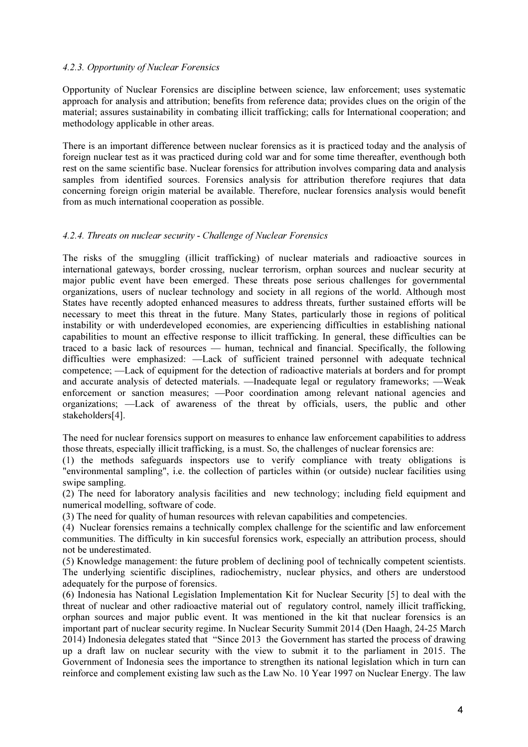#### 4.2.3. Opportunity of Nuclear Forensics

Opportunity of Nuclear Forensics are discipline between science, law enforcement; uses systematic approach for analysis and attribution; benefits from reference data; provides clues on the origin of the material; assures sustainability in combating illicit trafficking; calls for International cooperation; and methodology applicable in other areas.

There is an important difference between nuclear forensics as it is practiced today and the analysis of foreign nuclear test as it was practiced during cold war and for some time thereafter, eventhough both rest on the same scientific base. Nuclear forensics for attribution involves comparing data and analysis samples from identified sources. Forensics analysis for attribution therefore reqiures that data concerning foreign origin material be available. Therefore, nuclear forensics analysis would benefit from as much international cooperation as possible.

#### 4.2.4. Threats on nuclear security - Challenge of Nuclear Forensics

The risks of the smuggling (illicit trafficking) of nuclear materials and radioactive sources in international gateways, border crossing, nuclear terrorism, orphan sources and nuclear security at major public event have been emerged. These threats pose serious challenges for governmental organizations, users of nuclear technology and society in all regions of the world. Although most States have recently adopted enhanced measures to address threats, further sustained efforts will be necessary to meet this threat in the future. Many States, particularly those in regions of political instability or with underdeveloped economies, are experiencing difficulties in establishing national capabilities to mount an effective response to illicit trafficking. In general, these difficulties can be traced to a basic lack of resources — human, technical and financial. Specifically, the following difficulties were emphasized: —Lack of sufficient trained personnel with adequate technical competence; —Lack of equipment for the detection of radioactive materials at borders and for prompt and accurate analysis of detected materials. —Inadequate legal or regulatory frameworks; —Weak enforcement or sanction measures; —Poor coordination among relevant national agencies and organizations; —Lack of awareness of the threat by officials, users, the public and other stakeholders[4].

The need for nuclear forensics support on measures to enhance law enforcement capabilities to address those threats, especially illicit trafficking, is a must. So, the challenges of nuclear forensics are:

(1) the methods safeguards inspectors use to verify compliance with treaty obligations is "environmental sampling", i.e. the collection of particles within (or outside) nuclear facilities using swipe sampling.

(2) The need for laboratory analysis facilities and new technology; including field equipment and numerical modelling, software of code.

(3) The need for quality of human resources with relevan capabilities and competencies.

(4) Nuclear forensics remains a technically complex challenge for the scientific and law enforcement communities. The difficulty in kin succesful forensics work, especially an attribution process, should not be underestimated.

(5) Knowledge management: the future problem of declining pool of technically competent scientists. The underlying scientific disciplines, radiochemistry, nuclear physics, and others are understood adequately for the purpose of forensics.

(6) Indonesia has National Legislation Implementation Kit for Nuclear Security [5] to deal with the threat of nuclear and other radioactive material out of regulatory control, namely illicit trafficking, orphan sources and major public event. It was mentioned in the kit that nuclear forensics is an important part of nuclear security regime. In Nuclear Security Summit 2014 (Den Haagh, 24-25 March 2014) Indonesia delegates stated that "Since 2013 the Government has started the process of drawing up a draft law on nuclear security with the view to submit it to the parliament in 2015. The Government of Indonesia sees the importance to strengthen its national legislation which in turn can reinforce and complement existing law such as the Law No. 10 Year 1997 on Nuclear Energy. The law